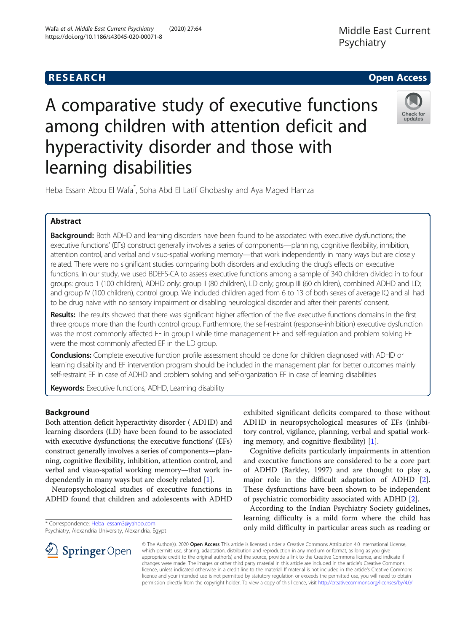Wafa et al. Middle East Current Psychiatry (2020) 27:64

https://doi.org/10.1186/s43045-020-00071-8

# A comparative study of executive functions among children with attention deficit and hyperactivity disorder and those with learning disabilities



Heba Essam Abou El Wafa\* , Soha Abd El Latif Ghobashy and Aya Maged Hamza

# Abstract

Background: Both ADHD and learning disorders have been found to be associated with executive dysfunctions; the executive functions' (EFs) construct generally involves a series of components—planning, cognitive flexibility, inhibition, attention control, and verbal and visuo-spatial working memory—that work independently in many ways but are closely related. There were no significant studies comparing both disorders and excluding the drug's effects on executive functions. In our study, we used BDEFS-CA to assess executive functions among a sample of 340 children divided in to four groups: group 1 (100 children), ADHD only; group II (80 children), LD only; group III (60 children), combined ADHD and LD; and group IV (100 children), control group. We included children aged from 6 to 13 of both sexes of average IQ and all had to be drug naive with no sensory impairment or disabling neurological disorder and after their parents' consent.

Results: The results showed that there was significant higher affection of the five executive functions domains in the first three groups more than the fourth control group. Furthermore, the self-restraint (response-inhibition) executive dysfunction was the most commonly affected EF in group I while time management EF and self-regulation and problem solving EF were the most commonly affected EF in the LD group.

Conclusions: Complete executive function profile assessment should be done for children diagnosed with ADHD or learning disability and EF intervention program should be included in the management plan for better outcomes mainly self-restraint EF in case of ADHD and problem solving and self-organization EF in case of learning disabilities

Keywords: Executive functions, ADHD, Learning disability

# Background

Both attention deficit hyperactivity disorder ( ADHD) and learning disorders (LD) have been found to be associated with executive dysfunctions; the executive functions' (EFs) construct generally involves a series of components—planning, cognitive flexibility, inhibition, attention control, and verbal and visuo-spatial working memory—that work independently in many ways but are closely related [[1\]](#page-7-0).

Neuropsychological studies of executive functions in ADHD found that children and adolescents with ADHD

\* Correspondence: [Heba\\_essam3@yahoo.com](mailto:Heba_essam3@yahoo.com)

SpringerOpen

Psychiatry, Alexandria University, Alexandria, Egypt

exhibited significant deficits compared to those without ADHD in neuropsychological measures of EFs (inhibitory control, vigilance, planning, verbal and spatial working memory, and cognitive flexibility) [[1\]](#page-7-0).

Cognitive deficits particularly impairments in attention and executive functions are considered to be a core part of ADHD (Barkley, 1997) and are thought to play a, major role in the difficult adaptation of ADHD [\[2](#page-7-0)]. These dysfunctions have been shown to be independent of psychiatric comorbidity associated with ADHD [[2\]](#page-7-0).

According to the Indian Psychiatry Society guidelines, learning difficulty is a mild form where the child has only mild difficulty in particular areas such as reading or

© The Author(s). 2020 Open Access This article is licensed under a Creative Commons Attribution 4.0 International License, which permits use, sharing, adaptation, distribution and reproduction in any medium or format, as long as you give appropriate credit to the original author(s) and the source, provide a link to the Creative Commons licence, and indicate if changes were made. The images or other third party material in this article are included in the article's Creative Commons licence, unless indicated otherwise in a credit line to the material. If material is not included in the article's Creative Commons licence and your intended use is not permitted by statutory regulation or exceeds the permitted use, you will need to obtain permission directly from the copyright holder. To view a copy of this licence, visit <http://creativecommons.org/licenses/by/4.0/>.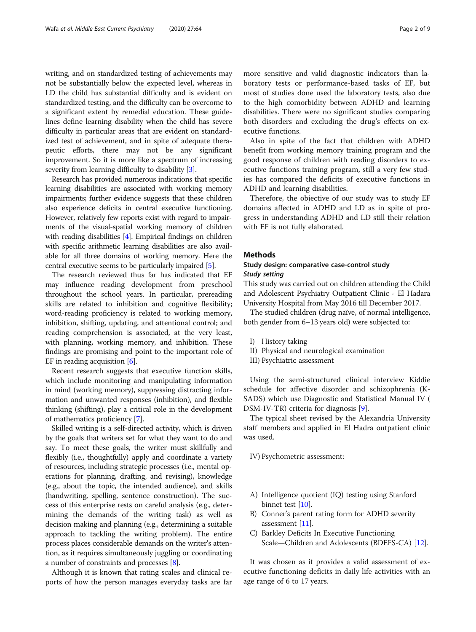writing, and on standardized testing of achievements may not be substantially below the expected level, whereas in LD the child has substantial difficulty and is evident on standardized testing, and the difficulty can be overcome to a significant extent by remedial education. These guidelines define learning disability when the child has severe difficulty in particular areas that are evident on standardized test of achievement, and in spite of adequate therapeutic efforts, there may not be any significant improvement. So it is more like a spectrum of increasing severity from learning difficulty to disability [\[3](#page-7-0)].

Research has provided numerous indications that specific learning disabilities are associated with working memory impairments; further evidence suggests that these children also experience deficits in central executive functioning. However, relatively few reports exist with regard to impairments of the visual-spatial working memory of children with reading disabilities [\[4](#page-7-0)]. Empirical findings on children with specific arithmetic learning disabilities are also available for all three domains of working memory. Here the central executive seems to be particularly impaired [\[5](#page-7-0)].

The research reviewed thus far has indicated that EF may influence reading development from preschool throughout the school years. In particular, prereading skills are related to inhibition and cognitive flexibility; word-reading proficiency is related to working memory, inhibition, shifting, updating, and attentional control; and reading comprehension is associated, at the very least, with planning, working memory, and inhibition. These findings are promising and point to the important role of EF in reading acquisition [[6\]](#page-7-0).

Recent research suggests that executive function skills, which include monitoring and manipulating information in mind (working memory), suppressing distracting information and unwanted responses (inhibition), and flexible thinking (shifting), play a critical role in the development of mathematics proficiency [\[7](#page-8-0)].

Skilled writing is a self-directed activity, which is driven by the goals that writers set for what they want to do and say. To meet these goals, the writer must skillfully and flexibly (i.e., thoughtfully) apply and coordinate a variety of resources, including strategic processes (i.e., mental operations for planning, drafting, and revising), knowledge (e.g., about the topic, the intended audience), and skills (handwriting, spelling, sentence construction). The success of this enterprise rests on careful analysis (e.g., determining the demands of the writing task) as well as decision making and planning (e.g., determining a suitable approach to tackling the writing problem). The entire process places considerable demands on the writer's attention, as it requires simultaneously juggling or coordinating a number of constraints and processes [[8\]](#page-8-0).

Although it is known that rating scales and clinical reports of how the person manages everyday tasks are far more sensitive and valid diagnostic indicators than laboratory tests or performance-based tasks of EF, but most of studies done used the laboratory tests, also due to the high comorbidity between ADHD and learning disabilities. There were no significant studies comparing both disorders and excluding the drug's effects on executive functions.

Also in spite of the fact that children with ADHD benefit from working memory training program and the good response of children with reading disorders to executive functions training program, still a very few studies has compared the deficits of executive functions in ADHD and learning disabilities.

Therefore, the objective of our study was to study EF domains affected in ADHD and LD as in spite of progress in understanding ADHD and LD still their relation with EF is not fully elaborated.

# Methods

# Study design: comparative case-control study Study setting

This study was carried out on children attending the Child and Adolescent Psychiatry Outpatient Clinic - El Hadara University Hospital from May 2016 till December 2017.

The studied children (drug naïve, of normal intelligence, both gender from 6–13 years old) were subjected to:

- I) History taking
- II) Physical and neurological examination
- III) Psychiatric assessment

Using the semi-structured clinical interview Kiddie schedule for affective disorder and schizophrenia (K-SADS) which use Diagnostic and Statistical Manual IV ( DSM-IV-TR) criteria for diagnosis [[9\]](#page-8-0).

The typical sheet revised by the Alexandria University staff members and applied in El Hadra outpatient clinic was used.

IV) Psychometric assessment:

- A) Intelligence quotient (IQ) testing using Stanford binnet test [\[10\]](#page-8-0).
- B) Conner's parent rating form for ADHD severity assessment [[11](#page-8-0)].
- C) Barkley Deficits In Executive Functioning Scale—Children and Adolescents (BDEFS-CA) [\[12](#page-8-0)].

It was chosen as it provides a valid assessment of executive functioning deficits in daily life activities with an age range of 6 to 17 years.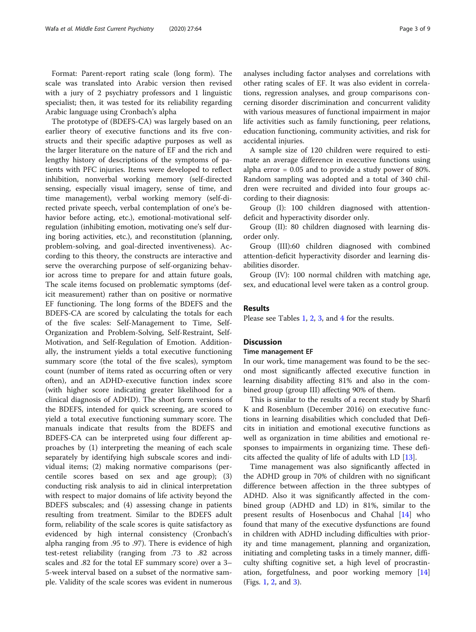Format: Parent-report rating scale (long form). The scale was translated into Arabic version then revised with a jury of 2 psychiatry professors and 1 linguistic specialist; then, it was tested for its reliability regarding Arabic language using Cronbach's alpha

The prototype of (BDEFS-CA) was largely based on an earlier theory of executive functions and its five constructs and their specific adaptive purposes as well as the larger literature on the nature of EF and the rich and lengthy history of descriptions of the symptoms of patients with PFC injuries. Items were developed to reflect inhibition, nonverbal working memory (self-directed sensing, especially visual imagery, sense of time, and time management), verbal working memory (self-directed private speech, verbal contemplation of one's behavior before acting, etc.), emotional-motivational selfregulation (inhibiting emotion, motivating one's self during boring activities, etc.), and reconstitution (planning, problem-solving, and goal-directed inventiveness). According to this theory, the constructs are interactive and serve the overarching purpose of self-organizing behavior across time to prepare for and attain future goals, The scale items focused on problematic symptoms (deficit measurement) rather than on positive or normative EF functioning. The long forms of the BDEFS and the BDEFS-CA are scored by calculating the totals for each of the five scales: Self-Management to Time, Self-Organization and Problem-Solving, Self-Restraint, Self-Motivation, and Self-Regulation of Emotion. Additionally, the instrument yields a total executive functioning summary score (the total of the five scales), symptom count (number of items rated as occurring often or very often), and an ADHD-executive function index score (with higher score indicating greater likelihood for a clinical diagnosis of ADHD). The short form versions of the BDEFS, intended for quick screening, are scored to yield a total executive functioning summary score. The manuals indicate that results from the BDEFS and BDEFS-CA can be interpreted using four different approaches by (1) interpreting the meaning of each scale separately by identifying high subscale scores and individual items; (2) making normative comparisons (percentile scores based on sex and age group); (3) conducting risk analysis to aid in clinical interpretation with respect to major domains of life activity beyond the BDEFS subscales; and (4) assessing change in patients resulting from treatment. Similar to the BDEFS adult form, reliability of the scale scores is quite satisfactory as evidenced by high internal consistency (Cronbach's alpha ranging from .95 to .97). There is evidence of high test-retest reliability (ranging from .73 to .82 across scales and .82 for the total EF summary score) over a 3– 5-week interval based on a subset of the normative sample. Validity of the scale scores was evident in numerous analyses including factor analyses and correlations with other rating scales of EF. It was also evident in correlations, regression analyses, and group comparisons concerning disorder discrimination and concurrent validity with various measures of functional impairment in major life activities such as family functioning, peer relations, education functioning, community activities, and risk for accidental injuries.

A sample size of 120 children were required to estimate an average difference in executive functions using alpha error = 0.05 and to provide a study power of 80%. Random sampling was adopted and a total of 340 children were recruited and divided into four groups according to their diagnosis:

Group (I): 100 children diagnosed with attentiondeficit and hyperactivity disorder only.

Group (II): 80 children diagnosed with learning disorder only.

Group (III):60 children diagnosed with combined attention-deficit hyperactivity disorder and learning disabilities disorder.

Group (IV): 100 normal children with matching age, sex, and educational level were taken as a control group.

# Results

Please see Tables [1,](#page-3-0) [2,](#page-4-0) [3,](#page-4-0) and [4](#page-5-0) for the results.

# **Discussion**

## Time management EF

In our work, time management was found to be the second most significantly affected executive function in learning disability affecting 81% and also in the combined group (group III) affecting 90% of them.

This is similar to the results of a recent study by Sharfi K and Rosenblum (December 2016) on executive functions in learning disabilities which concluded that Deficits in initiation and emotional executive functions as well as organization in time abilities and emotional responses to impairments in organizing time. These deficits affected the quality of life of adults with LD [[13\]](#page-8-0).

Time management was also significantly affected in the ADHD group in 70% of children with no significant difference between affection in the three subtypes of ADHD. Also it was significantly affected in the combined group (ADHD and LD) in 81%, similar to the present results of Hosenbocus and Chahal  $[14]$  $[14]$  who found that many of the executive dysfunctions are found in children with ADHD including difficulties with priority and time management, planning and organization, initiating and completing tasks in a timely manner, difficulty shifting cognitive set, a high level of procrastination, forgetfulness, and poor working memory [[14](#page-8-0)] (Figs. [1](#page-5-0), [2](#page-6-0), and [3](#page-6-0)).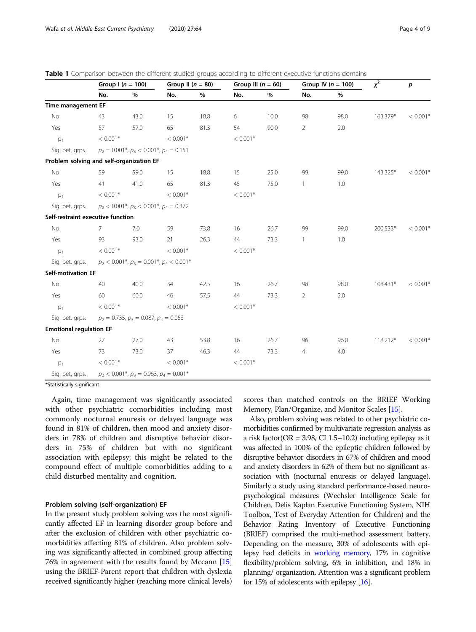<span id="page-3-0"></span>Table 1 Comparison between the different studied groups according to different executive functions domains

|                                          | Group $(n = 100)$ |                                                   |            | Group II $(n = 80)$ |            | Group III $(n = 60)$ |                | Group IV $(n = 100)$ |          | $\boldsymbol{p}$ |
|------------------------------------------|-------------------|---------------------------------------------------|------------|---------------------|------------|----------------------|----------------|----------------------|----------|------------------|
|                                          | No.               | $\%$                                              | No.        | $\%$                | No.        | $\%$                 | No.            | $\%$                 |          |                  |
| Time management EF                       |                   |                                                   |            |                     |            |                      |                |                      |          |                  |
| No                                       | 43                | 43.0                                              | 15         | 18.8                | 6          | 10.0                 | 98             | 98.0                 | 163.379* | $< 0.001*$       |
| Yes                                      | 57                | 57.0                                              | 65         | 81.3                | 54         | 90.0                 | $\overline{2}$ | 2.0                  |          |                  |
| $p_1$                                    | $< 0.001*$        |                                                   | $< 0.001*$ |                     | $< 0.001*$ |                      |                |                      |          |                  |
| Sig. bet. grps.                          |                   | $p_2 = 0.001^*$ , $p_3 < 0.001^*$ , $p_4 = 0.151$ |            |                     |            |                      |                |                      |          |                  |
| Problem solving and self-organization EF |                   |                                                   |            |                     |            |                      |                |                      |          |                  |
| No                                       | 59                | 59.0                                              | 15         | 18.8                | 15         | 25.0                 | 99             | 99.0                 | 143.325* | $< 0.001*$       |
| Yes                                      | 41                | 41.0                                              | 65         | 81.3                | 45         | 75.0                 | $\mathbf{1}$   | 1.0                  |          |                  |
| $p_1$                                    | $< 0.001*$        |                                                   | $< 0.001*$ |                     | $< 0.001*$ |                      |                |                      |          |                  |
| Sig. bet. grps.                          |                   | $p_2$ < 0.001*, $p_3$ < 0.001*, $p_4$ = 0.372     |            |                     |            |                      |                |                      |          |                  |
| Self-restraint executive function        |                   |                                                   |            |                     |            |                      |                |                      |          |                  |
| No                                       | 7                 | 7.0                                               | 59         | 73.8                | 16         | 26.7                 | 99             | 99.0                 | 200.533* | $< 0.001*$       |
| Yes                                      | 93                | 93.0                                              | 21         | 26.3                | 44         | 73.3                 | $\mathbf{1}$   | 1.0                  |          |                  |
| $p_1$                                    | $< 0.001*$        |                                                   | $< 0.001*$ |                     | $< 0.001*$ |                      |                |                      |          |                  |
| Sig. bet. grps.                          |                   | $p_2$ < 0.001*, $p_3$ = 0.001*, $p_4$ < 0.001*    |            |                     |            |                      |                |                      |          |                  |
| Self-motivation EF                       |                   |                                                   |            |                     |            |                      |                |                      |          |                  |
| No                                       | 40                | 40.0                                              | 34         | 42.5                | 16         | 26.7                 | 98             | 98.0                 | 108.431* | $< 0.001*$       |
| Yes                                      | 60                | 60.0                                              | 46         | 57.5                | 44         | 73.3                 | $\overline{2}$ | 2.0                  |          |                  |
| $p_1$                                    | $< 0.001*$        |                                                   | $< 0.001*$ |                     | $< 0.001*$ |                      |                |                      |          |                  |
| Sig. bet. grps.                          |                   | $p_2 = 0.735$ , $p_3 = 0.087$ , $p_4 = 0.053$     |            |                     |            |                      |                |                      |          |                  |
| <b>Emotional regulation EF</b>           |                   |                                                   |            |                     |            |                      |                |                      |          |                  |
| <b>No</b>                                | 27                | 27.0                                              | 43         | 53.8                | 16         | 26.7                 | 96             | 96.0                 | 118.212* | $< 0.001*$       |
| Yes                                      | 73                | 73.0                                              | 37         | 46.3                | 44         | 73.3                 | 4              | 4.0                  |          |                  |
| $p_1$                                    | $< 0.001*$        |                                                   | $< 0.001*$ |                     | $< 0.001*$ |                      |                |                      |          |                  |
| Sig. bet. grps.                          |                   | $p_2$ < 0.001*, $p_3$ = 0.963, $p_4$ = 0.001*     |            |                     |            |                      |                |                      |          |                  |

\*Statistically significant

Again, time management was significantly associated with other psychiatric comorbidities including most commonly nocturnal enuresis or delayed language was found in 81% of children, then mood and anxiety disorders in 78% of children and disruptive behavior disorders in 75% of children but with no significant association with epilepsy; this might be related to the compound effect of multiple comorbidities adding to a child disturbed mentality and cognition.

# Problem solving (self-organization) EF

In the present study problem solving was the most significantly affected EF in learning disorder group before and after the exclusion of children with other psychiatric comorbidities affecting 81% of children. Also problem solving was significantly affected in combined group affecting 76% in agreement with the results found by Mccann [[15](#page-8-0)] using the BRIEF-Parent report that children with dyslexia received significantly higher (reaching more clinical levels)

scores than matched controls on the BRIEF Working Memory, Plan/Organize, and Monitor Scales [\[15\]](#page-8-0).

Also, problem solving was related to other psychiatric comorbidities confirmed by multivariate regression analysis as a risk factor( $OR = 3.98$ , CI 1.5–10.2) including epilepsy as it was affected in 100% of the epileptic children followed by disruptive behavior disorders in 67% of children and mood and anxiety disorders in 62% of them but no significant association with (nocturnal enuresis or delayed language). Similarly a study using standard performance-based neuropsychological measures (Wechsler Intelligence Scale for Children, Delis Kaplan Executive Functioning System, NIH Toolbox, Test of Everyday Attention for Children) and the Behavior Rating Inventory of Executive Functioning (BRIEF) comprised the multi-method assessment battery. Depending on the measure, 30% of adolescents with epilepsy had deficits in [working memory,](https://www.sciencedirect.com/topics/neuroscience/working-memory) 17% in cognitive flexibility/problem solving, 6% in inhibition, and 18% in planning/ organization. Attention was a significant problem for 15% of adolescents with epilepsy [\[16](#page-8-0)].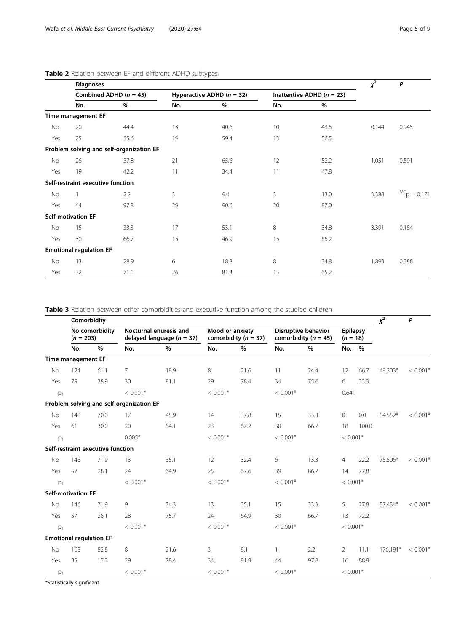|           | <b>Diagnoses</b>                  |                                          |     |                               |     |                               | $x^2$ | P                  |
|-----------|-----------------------------------|------------------------------------------|-----|-------------------------------|-----|-------------------------------|-------|--------------------|
|           | Combined ADHD ( $n = 45$ )        |                                          |     | Hyperactive ADHD ( $n = 32$ ) |     | Inattentive ADHD ( $n = 23$ ) |       |                    |
|           | No.                               | $\%$                                     | No. | $\%$                          | No. | %                             |       |                    |
|           | Time management EF                |                                          |     |                               |     |                               |       |                    |
| No        | 20                                | 44.4                                     | 13  | 40.6                          | 10  | 43.5                          | 0.144 | 0.945              |
| Yes       | 25                                | 55.6                                     | 19  | 59.4                          | 13  | 56.5                          |       |                    |
|           |                                   | Problem solving and self-organization EF |     |                               |     |                               |       |                    |
| No        | 26                                | 57.8                                     | 21  | 65.6                          | 12  | 52.2                          | 1.051 | 0.591              |
| Yes       | 19                                | 42.2                                     | 11  | 34.4                          | 11  | 47.8                          |       |                    |
|           | Self-restraint executive function |                                          |     |                               |     |                               |       |                    |
| No        | $\overline{1}$                    | 2.2                                      | 3   | 9.4                           | 3   | 13.0                          | 3.388 | ${}^{MC}p = 0.171$ |
| Yes       | 44                                | 97.8                                     | 29  | 90.6                          | 20  | 87.0                          |       |                    |
|           | <b>Self-motivation EF</b>         |                                          |     |                               |     |                               |       |                    |
| <b>No</b> | 15                                | 33.3                                     | 17  | 53.1                          | 8   | 34.8                          | 3.391 | 0.184              |
| Yes       | 30                                | 66.7                                     | 15  | 46.9                          | 15  | 65.2                          |       |                    |
|           | <b>Emotional regulation EF</b>    |                                          |     |                               |     |                               |       |                    |
| <b>No</b> | 13                                | 28.9                                     | 6   | 18.8                          | 8   | 34.8                          | 1.893 | 0.388              |
| Yes       | 32                                | 71.1                                     | 26  | 81.3                          | 15  | 65.2                          |       |                    |

# <span id="page-4-0"></span>Table 2 Relation between EF and different ADHD subtypes

Table 3 Relation between other comorbidities and executive function among the studied children

|           |                               | Comorbidity                       |                                                       |      |                                             |      |                                                 |      |                               |       | $\chi^2$ | P          |
|-----------|-------------------------------|-----------------------------------|-------------------------------------------------------|------|---------------------------------------------|------|-------------------------------------------------|------|-------------------------------|-------|----------|------------|
|           | No comorbidity<br>$(n = 203)$ |                                   | Nocturnal enuresis and<br>delayed language $(n = 37)$ |      | Mood or anxiety<br>comorbidity ( $n = 37$ ) |      | Disruptive behavior<br>comorbidity ( $n = 45$ ) |      | <b>Epilepsy</b><br>$(n = 18)$ |       |          |            |
|           | No.                           | %                                 | No.                                                   | $\%$ | No.                                         | $\%$ | No.                                             | $\%$ | No.                           | $\%$  |          |            |
|           | Time management EF            |                                   |                                                       |      |                                             |      |                                                 |      |                               |       |          |            |
| No        | 124                           | 61.1                              | 7                                                     | 18.9 | 8                                           | 21.6 | 11                                              | 24.4 | 12                            | 66.7  | 49.303*  | $< 0.001*$ |
| Yes       | 79                            | 38.9                              | 30                                                    | 81.1 | 29                                          | 78.4 | 34                                              | 75.6 | 6                             | 33.3  |          |            |
| $p_1$     |                               |                                   | $< 0.001*$                                            |      | $< 0.001*$                                  |      | $< 0.001*$                                      |      | 0.641                         |       |          |            |
|           |                               |                                   | Problem solving and self-organization EF              |      |                                             |      |                                                 |      |                               |       |          |            |
| No        | 142                           | 70.0                              | 17                                                    | 45.9 | 14                                          | 37.8 | 15                                              | 33.3 | $\circ$                       | 0.0   | 54.552*  | $< 0.001*$ |
| Yes       | 61                            | 30.0                              | 20                                                    | 54.1 | 23                                          | 62.2 | 30                                              | 66.7 | 18                            | 100.0 |          |            |
| $p_1$     |                               |                                   | $0.005*$                                              |      | $< 0.001*$                                  |      | $< 0.001*$                                      |      | $< 0.001*$                    |       |          |            |
|           |                               | Self-restraint executive function |                                                       |      |                                             |      |                                                 |      |                               |       |          |            |
| <b>No</b> | 146                           | 71.9                              | 13                                                    | 35.1 | 12                                          | 32.4 | 6                                               | 13.3 | $\overline{4}$                | 22.2  | 75.506*  | $< 0.001*$ |
| Yes       | 57                            | 28.1                              | 24                                                    | 64.9 | 25                                          | 67.6 | 39                                              | 86.7 | 14                            | 77.8  |          |            |
| $p_1$     |                               |                                   | $< 0.001*$                                            |      | $< 0.001*$<br>$< 0.001*$                    |      | $< 0.001*$                                      |      |                               |       |          |            |
|           | <b>Self-motivation EF</b>     |                                   |                                                       |      |                                             |      |                                                 |      |                               |       |          |            |
| No        | 146                           | 71.9                              | 9                                                     | 24.3 | 13                                          | 35.1 | 15                                              | 33.3 | 5                             | 27.8  | 57.434*  | $< 0.001*$ |
| Yes       | 57                            | 28.1                              | 28                                                    | 75.7 | 24                                          | 64.9 | 30                                              | 66.7 | 13                            | 72.2  |          |            |
| $p_1$     |                               |                                   | $< 0.001*$                                            |      | $< 0.001*$                                  |      | $< 0.001*$                                      |      | $< 0.001*$                    |       |          |            |
|           |                               | <b>Emotional regulation EF</b>    |                                                       |      |                                             |      |                                                 |      |                               |       |          |            |
| <b>No</b> | 168                           | 82.8                              | 8                                                     | 21.6 | 3                                           | 8.1  | 1                                               | 2.2  | $\overline{2}$                | 11.1  | 176.191* | $< 0.001*$ |
| Yes       | 35                            | 17.2                              | 29                                                    | 78.4 | 34                                          | 91.9 | 44                                              | 97.8 | 16                            | 88.9  |          |            |
| $p_1$     |                               |                                   | $< 0.001*$                                            |      | $< 0.001*$                                  |      | $< 0.001*$                                      |      | $< 0.001*$                    |       |          |            |

\*Statistically significant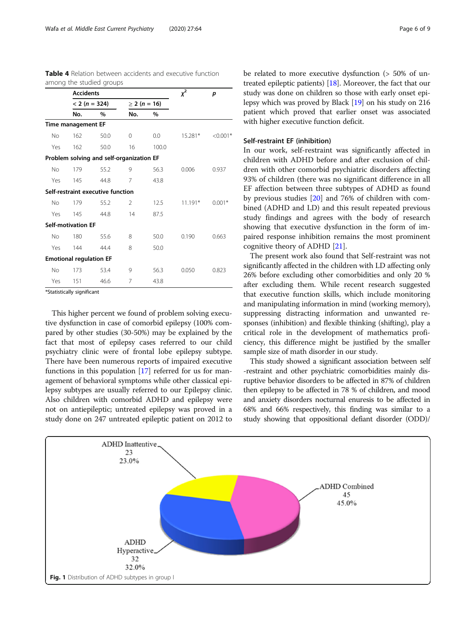|                |                                | among the studied groups                 |                |                   |           |            |  |
|----------------|--------------------------------|------------------------------------------|----------------|-------------------|-----------|------------|--|
|                | <b>Accidents</b>               |                                          | $x^2$          | р                 |           |            |  |
|                | $< 2 (n = 324)$                |                                          |                | $\geq$ 2 (n = 16) |           |            |  |
|                | No.                            | $\%$                                     | No.            | $\%$              |           |            |  |
|                | Time management EF             |                                          |                |                   |           |            |  |
| No.            | 162                            | 50.0                                     | 0              | 0.0               | 15.281*   | $< 0.001*$ |  |
| Yes            | 162                            | 50.0                                     | 16             | 100.0             |           |            |  |
|                |                                | Problem solving and self-organization EF |                |                   |           |            |  |
| N <sub>o</sub> | 179                            | 55.2                                     | 9              | 56.3              | 0.006     | 0.937      |  |
| Yes            | 145                            | 44.8                                     | 7              | 43.8              |           |            |  |
|                |                                | Self-restraint executive function        |                |                   |           |            |  |
| No.            | 179                            | 55.2                                     | $\mathfrak{D}$ | 12.5              | $11.191*$ | $0.001*$   |  |
| Yes            | 145                            | 44.8                                     | 14             | 87.5              |           |            |  |
|                | <b>Self-motivation EF</b>      |                                          |                |                   |           |            |  |
| No.            | 180                            | 55.6                                     | 8              | 50.0              | 0.190     | 0.663      |  |
| Yes            | 144                            | 44.4                                     | 8              | 50.0              |           |            |  |
|                | <b>Emotional regulation EF</b> |                                          |                |                   |           |            |  |
| No             | 173                            | 53.4                                     | 9              | 56.3              | 0.050     | 0.823      |  |
| Yes            | 151                            | 46.6                                     | 7              | 43.8              |           |            |  |

<span id="page-5-0"></span>

|                          |  | <b>Table 4</b> Relation between accidents and executive function |
|--------------------------|--|------------------------------------------------------------------|
| among the studied groups |  |                                                                  |

\*Statistically significant

This higher percent we found of problem solving executive dysfunction in case of comorbid epilepsy (100% compared by other studies (30-50%) may be explained by the fact that most of epilepsy cases referred to our child psychiatry clinic were of frontal lobe epilepsy subtype. There have been numerous reports of impaired executive functions in this population [\[17\]](#page-8-0) referred for us for management of behavioral symptoms while other classical epilepsy subtypes are usually referred to our Epilepsy clinic. Also children with comorbid ADHD and epilepsy were not on antiepileptic; untreated epilepsy was proved in a study done on 247 untreated epileptic patient on 2012 to be related to more executive dysfunction (> 50% of untreated epileptic patients) [\[18\]](#page-8-0). Moreover, the fact that our study was done on children so those with early onset epilepsy which was proved by Black [[19\]](#page-8-0) on his study on 216 patient which proved that earlier onset was associated with higher executive function deficit.

# Self-restraint EF (inhibition)

In our work, self-restraint was significantly affected in children with ADHD before and after exclusion of children with other comorbid psychiatric disorders affecting 93% of children (there was no significant difference in all EF affection between three subtypes of ADHD as found by previous studies [\[20\]](#page-8-0) and 76% of children with combined (ADHD and LD) and this result repeated previous study findings and agrees with the body of research showing that executive dysfunction in the form of impaired response inhibition remains the most prominent cognitive theory of ADHD [\[21](#page-8-0)].

The present work also found that Self-restraint was not significantly affected in the children with LD affecting only 26% before excluding other comorbidities and only 20 % after excluding them. While recent research suggested that executive function skills, which include monitoring and manipulating information in mind (working memory), suppressing distracting information and unwanted responses (inhibition) and flexible thinking (shifting), play a critical role in the development of mathematics proficiency, this difference might be justified by the smaller sample size of math disorder in our study.

This study showed a significant association between self -restraint and other psychiatric comorbidities mainly disruptive behavior disorders to be affected in 87% of children then epilepsy to be affected in 78 % of children, and mood and anxiety disorders nocturnal enuresis to be affected in 68% and 66% respectively, this finding was similar to a study showing that oppositional defiant disorder (ODD)/

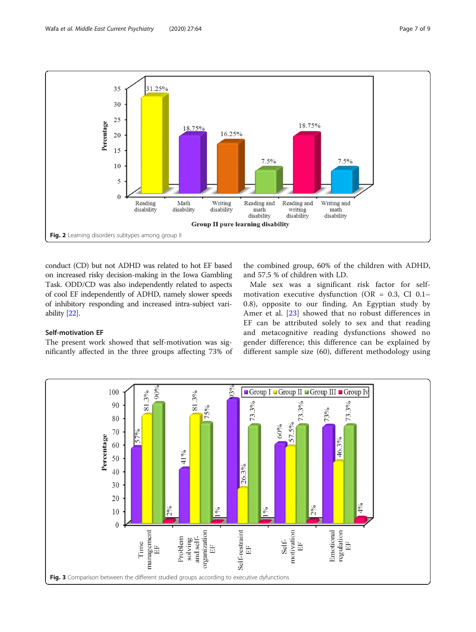<span id="page-6-0"></span>

conduct (CD) but not ADHD was related to hot EF based on increased risky decision-making in the Iowa Gambling Task. ODD/CD was also independently related to aspects of cool EF independently of ADHD, namely slower speeds of inhibitory responding and increased intra-subject variability [[22](#page-8-0)].

# the combined group, 60% of the children with ADHD, and 57.5 % of children with LD.

Male sex was a significant risk factor for selfmotivation executive dysfunction (OR = 0.3, CI 0.1– 0.8), opposite to our finding. An Egyptian study by Amer et al. [[23\]](#page-8-0) showed that no robust differences in EF can be attributed solely to sex and that reading and metacognitive reading dysfunctions showed no gender difference; this difference can be explained by different sample size (60), different methodology using



The present work showed that self-motivation was significantly affected in the three groups affecting 73% of

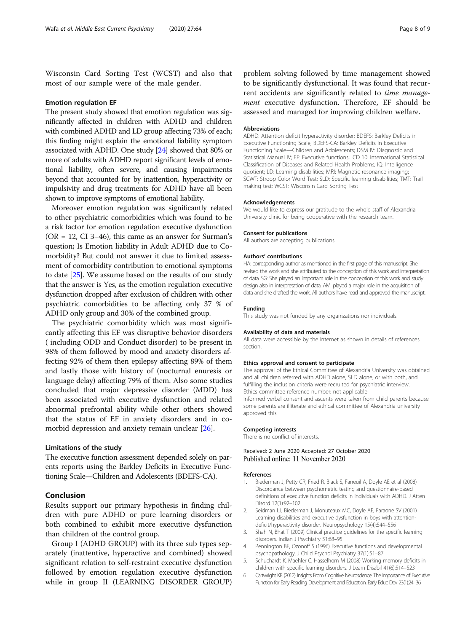<span id="page-7-0"></span>Wisconsin Card Sorting Test (WCST) and also that most of our sample were of the male gender.

### Emotion regulation EF

The present study showed that emotion regulation was significantly affected in children with ADHD and children with combined ADHD and LD group affecting 73% of each; this finding might explain the emotional liability symptom associated with ADHD. One study [[24](#page-8-0)] showed that 80% or more of adults with ADHD report significant levels of emotional liability, often severe, and causing impairments beyond that accounted for by inattention, hyperactivity or impulsivity and drug treatments for ADHD have all been shown to improve symptoms of emotional liability.

Moreover emotion regulation was significantly related to other psychiatric comorbidities which was found to be a risk factor for emotion regulation executive dysfunction  $(OR = 12, CI 3-46)$ , this came as an answer for Surman's question; Is Emotion liability in Adult ADHD due to Comorbidity? But could not answer it due to limited assessment of comorbidity contribution to emotional symptoms to date [[25](#page-8-0)]. We assume based on the results of our study that the answer is Yes, as the emotion regulation executive dysfunction dropped after exclusion of children with other psychiatric comorbidities to be affecting only 37 % of ADHD only group and 30% of the combined group.

The psychiatric comorbidity which was most significantly affecting this EF was disruptive behavior disorders ( including ODD and Conduct disorder) to be present in 98% of them followed by mood and anxiety disorders affecting 92% of them then epilepsy affecting 89% of them and lastly those with history of (nocturnal enuresis or language delay) affecting 79% of them. Also some studies concluded that major depressive disorder (MDD) has been associated with executive dysfunction and related abnormal prefrontal ability while other others showed that the status of EF in anxiety disorders and in comorbid depression and anxiety remain unclear [[26\]](#page-8-0).

# Limitations of the study

The executive function assessment depended solely on parents reports using the Barkley Deficits in Executive Functioning Scale—Children and Adolescents (BDEFS-CA).

# Conclusion

Results support our primary hypothesis in finding children with pure ADHD or pure learning disorders or both combined to exhibit more executive dysfunction than children of the control group.

Group I (ADHD GROUP) with its three sub types separately (inattentive, hyperactive and combined) showed significant relation to self-restraint executive dysfunction followed by emotion regulation executive dysfunction while in group II (LEARNING DISORDER GROUP)

problem solving followed by time management showed to be significantly dysfunctional. It was found that recurrent accidents are significantly related to time management executive dysfunction. Therefore, EF should be assessed and managed for improving children welfare.

#### Abbreviations

ADHD: Attention deficit hyperactivity disorder; BDEFS: Barkley Deficits in Executive Functioning Scale; BDEFS-CA: Barkley Deficits in Executive Functioning Scale—Children and Adolescents; DSM IV: Diagnostic and Statistical Manual IV; EF: Executive functions; ICD 10: International Statistical Classification of Diseases and Related Health Problems; IQ: Intelligence quotient; LD: Learning disabilities; MRI: Magnetic resonance imaging; SCWT: Stroop Color Word Test; SLD: Specific learning disabilities; TMT: Trail making test; WCST: Wisconsin Card Sorting Test

#### Acknowledgements

We would like to express our gratitude to the whole staff of Alexandria University clinic for being cooperative with the research team.

#### Consent for publications

All authors are accepting publications.

#### Authors' contributions

HA: corresponding author as mentioned in the first page of this manuscript. She revised the work and she attributed to the conception of this work and interpretation of data. SG: She played an important role in the conception of this work and study design also in interpretation of data. AM: played a major role in the acquisition of data and she drafted the work. All authors have read and approved the manuscript.

#### Funding

This study was not funded by any organizations nor individuals.

#### Availability of data and materials

All data were accessible by the Internet as shown in details of references section.

#### Ethics approval and consent to participate

The approval of the Ethical Committee of Alexandria University was obtained and all children referred with ADHD alone, SLD alone, or with both, and fulfilling the inclusion criteria were recruited for psychiatric interview. Ethics committee reference number: not applicable Informed verbal consent and ascents were taken from child parents because some parents are illiterate and ethical committee of Alexandria university approved this

#### Competing interests

There is no conflict of interests.

#### Received: 2 June 2020 Accepted: 27 October 2020 Published online: 11 November 2020

#### References

- 1. Biederman J, Petty CR, Fried R, Black S, Faneuil A, Doyle AE et al (2008) Discordance between psychometric testing and questionnaire-based definitions of executive function deficits in individuals with ADHD. J Atten Disord 12(1):92–102
- 2. Seidman LJ, Biederman J, Monuteaux MC, Doyle AE, Faraone SV (2001) Learning disabilities and executive dysfunction in boys with attentiondeficit/hyperactivity disorder. Neuropsychology 15(4):544–556
- 3. Shah N, Bhat T (2009) Clinical practice guidelines for the specific learning disorders. Indian J Psychiatry 51:68–95
- 4. Pennington BF, Ozonoff S (1996) Executive functions and developmental psychopathology. J Child Psychol Psychiatry 37(1):51–87
- 5. Schuchardt K, Maehler C, Hasselhorn M (2008) Working memory deficits in children with specific learning disorders. J Learn Disabil 41(6):514–523
- 6. Cartwright KB (2012) Insights From Cognitive Neuroscience: The Importance of Executive Function for Early Reading Development and Education. Early Educ Dev 23(1):24–36